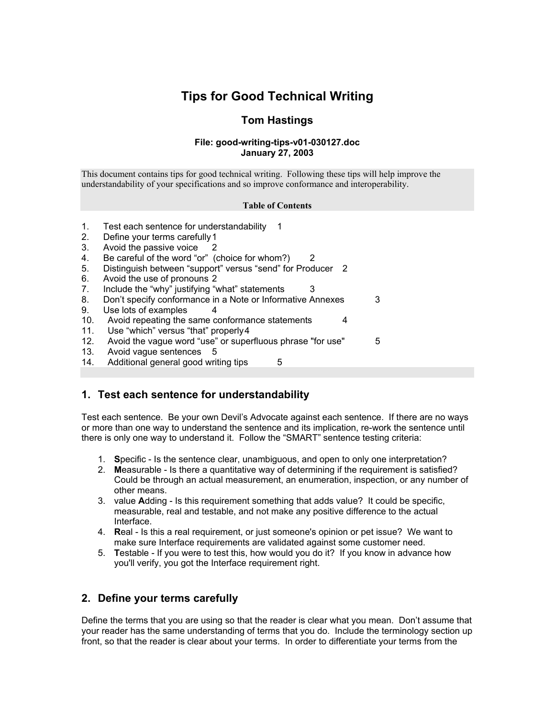# **Tips for Good Technical Writing**

### **Tom Hastings**

#### **File: good-writing-tips-v01-030127.doc January 27, 2003**

<span id="page-0-0"></span>This document contains tips for good technical writing. Following these tips will help improve the understandability of your specifications and so improve conformance and interoperability.

#### **Table of Contents**

- 1. [Test each sentence for understandability 1](#page-0-0)
- 2. [Define your terms carefully 1](#page-0-0)
- 3. [Avoid the passive voice 2](#page-1-0)
- 4. [Be careful of the word "or" \(choice for whom?\) 2](#page-1-0)
- 5. [Distinguish between "support" versus "send" for Producer 2](#page-1-0)
- 6. [Avoid the use of pronouns 2](#page-1-0)
- 7. [Include the "why" justifying "what" statements 3](#page-2-0)
- 8. [Don't specify conformance in a Note or Informative Annexes 3](#page-2-0)
- 9. [Use lots of examples 4](#page-3-0)
- 10. [Avoid repeating the same conformance statements 4](#page-3-0)
- 11. [Use "which" versus "that" properly 4](#page-3-0)
- 12. [Avoid the vague word "use" or superfluous phrase "for use" 5](#page-4-0)
- 13. [Avoid vague sentences 5](#page-4-0)
- 14. [Additional general good writing tips 5](#page-4-0)

### <span id="page-0-1"></span>**1. Test each sentence for understandability**

Test each sentence. Be your own Devil's Advocate against each sentence. If there are no ways or more than one way to understand the sentence and its implication, re-work the sentence until there is only one way to understand it. Follow the "SMART" sentence testing criteria:

- 1. **S**pecific Is the sentence clear, unambiguous, and open to only one interpretation?
- 2. **M**easurable Is there a quantitative way of determining if the requirement is satisfied? Could be through an actual measurement, an enumeration, inspection, or any number of other means.
- 3. value **A**dding Is this requirement something that adds value? It could be specific, measurable, real and testable, and not make any positive difference to the actual Interface.
- 4. **R**eal Is this a real requirement, or just someone's opinion or pet issue? We want to make sure Interface requirements are validated against some customer need.
- 5. **T**estable If you were to test this, how would you do it? If you know in advance how you'll verify, you got the Interface requirement right.

### **2. Define your terms carefully**

Define the terms that you are using so that the reader is clear what you mean. Don't assume that your reader has the same understanding of terms that you do. Include the terminology section up front, so that the reader is clear about your terms. In order to differentiate your terms from the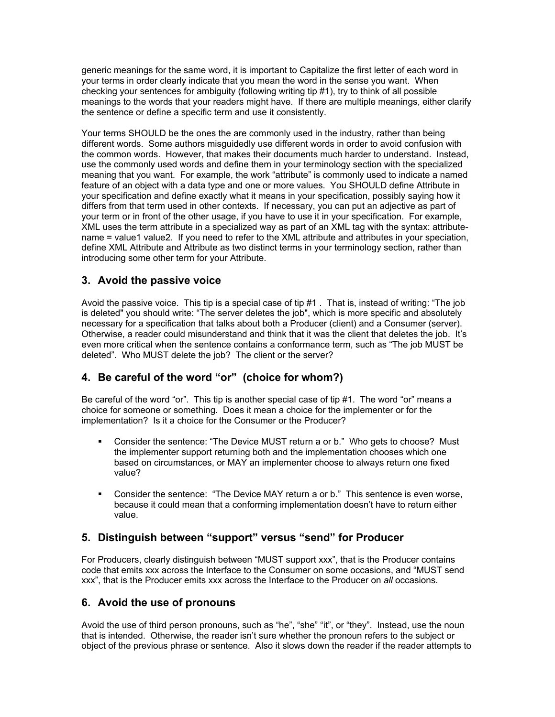<span id="page-1-0"></span>generic meanings for the same word, it is important to Capitalize the first letter of each word in your terms in order clearly indicate that you mean the word in the sense you want. When checking your sentences for ambiguity (following writing tip #[1\)](#page-0-1), try to think of all possible meanings to the words that your readers might have. If there are multiple meanings, either clarify the sentence or define a specific term and use it consistently.

Your terms SHOULD be the ones the are commonly used in the industry, rather than being different words. Some authors misguidedly use different words in order to avoid confusion with the common words. However, that makes their documents much harder to understand. Instead, use the commonly used words and define them in your terminology section with the specialized meaning that you want. For example, the work "attribute" is commonly used to indicate a named feature of an object with a data type and one or more values. You SHOULD define Attribute in your specification and define exactly what it means in your specification, possibly saying how it differs from that term used in other contexts. If necessary, you can put an adjective as part of your term or in front of the other usage, if you have to use it in your specification. For example, XML uses the term attribute in a specialized way as part of an XML tag with the syntax: attributename = value1 value2. If you need to refer to the XML attribute and attributes in your speciation, define XML Attribute and Attribute as two distinct terms in your terminology section, rather than introducing some other term for your Attribute.

## **3. Avoid the passive voice**

Avoid the passive voice. This tip is a special case of tip #[1](#page-0-1) . That is, instead of writing: "The job is deleted" you should write: "The server deletes the job", which is more specific and absolutely necessary for a specification that talks about both a Producer (client) and a Consumer (server). Otherwise, a reader could misunderstand and think that it was the client that deletes the job. It's even more critical when the sentence contains a conformance term, such as "The job MUST be deleted". Who MUST delete the job? The client or the server?

# **4. Be careful of the word "or" (choice for whom?)**

Be careful of the word "or". This tip is another special case of tip [#1.](#page-0-1) The word "or" means a choice for someone or something. Does it mean a choice for the implementer or for the implementation? Is it a choice for the Consumer or the Producer?

- Consider the sentence: "The Device MUST return a or b." Who gets to choose? Must the implementer support returning both and the implementation chooses which one based on circumstances, or MAY an implementer choose to always return one fixed value?
- Consider the sentence: "The Device MAY return a or b." This sentence is even worse, because it could mean that a conforming implementation doesn't have to return either value.

### **5. Distinguish between "support" versus "send" for Producer**

For Producers, clearly distinguish between "MUST support xxx", that is the Producer contains code that emits xxx across the Interface to the Consumer on some occasions, and "MUST send xxx", that is the Producer emits xxx across the Interface to the Producer on *all* occasions.

### **6. Avoid the use of pronouns**

Avoid the use of third person pronouns, such as "he", "she" "it", or "they". Instead, use the noun that is intended. Otherwise, the reader isn't sure whether the pronoun refers to the subject or object of the previous phrase or sentence. Also it slows down the reader if the reader attempts to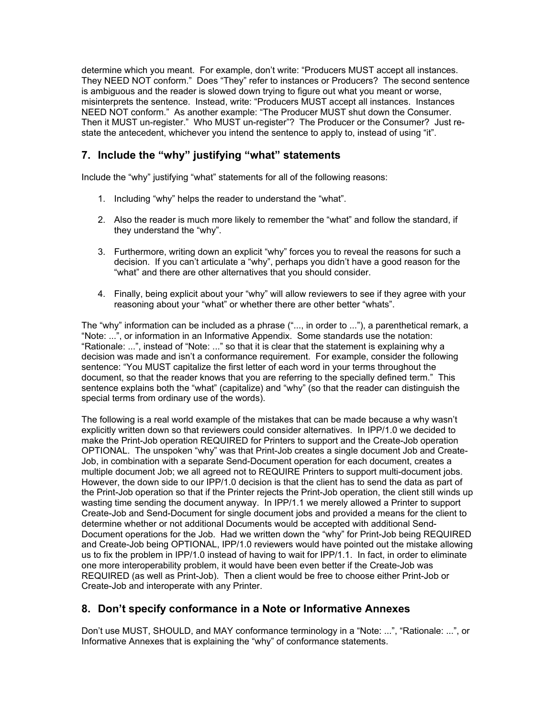<span id="page-2-0"></span>determine which you meant. For example, don't write: "Producers MUST accept all instances. They NEED NOT conform." Does "They" refer to instances or Producers? The second sentence is ambiguous and the reader is slowed down trying to figure out what you meant or worse, misinterprets the sentence. Instead, write: "Producers MUST accept all instances. Instances NEED NOT conform." As another example: "The Producer MUST shut down the Consumer. Then it MUST un-register." Who MUST un-register"? The Producer or the Consumer? Just restate the antecedent, whichever you intend the sentence to apply to, instead of using "it".

### **7. Include the "why" justifying "what" statements**

Include the "why" justifying "what" statements for all of the following reasons:

- 1. Including "why" helps the reader to understand the "what".
- 2. Also the reader is much more likely to remember the "what" and follow the standard, if they understand the "why".
- 3. Furthermore, writing down an explicit "why" forces you to reveal the reasons for such a decision. If you can't articulate a "why", perhaps you didn't have a good reason for the "what" and there are other alternatives that you should consider.
- 4. Finally, being explicit about your "why" will allow reviewers to see if they agree with your reasoning about your "what" or whether there are other better "whats".

The "why" information can be included as a phrase ("..., in order to ..."), a parenthetical remark, a "Note: ...", or information in an Informative Appendix. Some standards use the notation: "Rationale: ...", instead of "Note: ..." so that it is clear that the statement is explaining why a decision was made and isn't a conformance requirement. For example, consider the following sentence: "You MUST capitalize the first letter of each word in your terms throughout the document, so that the reader knows that you are referring to the specially defined term." This sentence explains both the "what" (capitalize) and "why" (so that the reader can distinguish the special terms from ordinary use of the words).

The following is a real world example of the mistakes that can be made because a why wasn't explicitly written down so that reviewers could consider alternatives. In IPP/1.0 we decided to make the Print-Job operation REQUIRED for Printers to support and the Create-Job operation OPTIONAL. The unspoken "why" was that Print-Job creates a single document Job and Create-Job, in combination with a separate Send-Document operation for each document, creates a multiple document Job; we all agreed not to REQUIRE Printers to support multi-document jobs. However, the down side to our IPP/1.0 decision is that the client has to send the data as part of the Print-Job operation so that if the Printer rejects the Print-Job operation, the client still winds up wasting time sending the document anyway. In IPP/1.1 we merely allowed a Printer to support Create-Job and Send-Document for single document jobs and provided a means for the client to determine whether or not additional Documents would be accepted with additional Send-Document operations for the Job. Had we written down the "why" for Print-Job being REQUIRED and Create-Job being OPTIONAL, IPP/1.0 reviewers would have pointed out the mistake allowing us to fix the problem in IPP/1.0 instead of having to wait for IPP/1.1. In fact, in order to eliminate one more interoperability problem, it would have been even better if the Create-Job was REQUIRED (as well as Print-Job). Then a client would be free to choose either Print-Job or Create-Job and interoperate with any Printer.

### **8. Don't specify conformance in a Note or Informative Annexes**

Don't use MUST, SHOULD, and MAY conformance terminology in a "Note: ...", "Rationale: ...", or Informative Annexes that is explaining the "why" of conformance statements.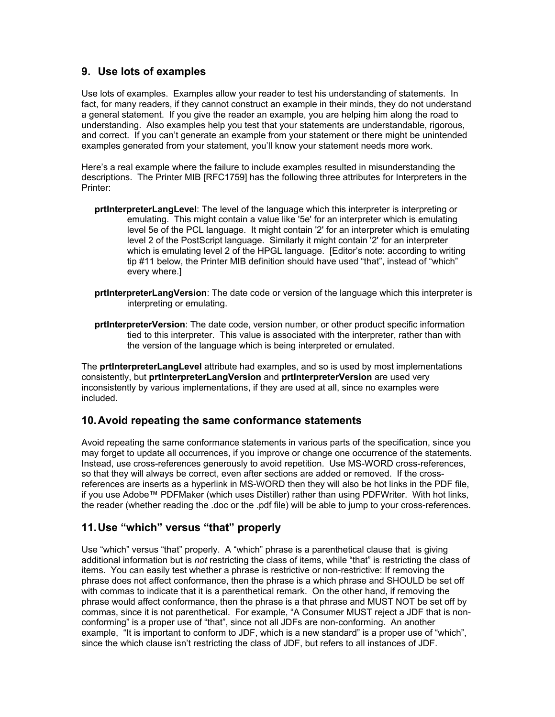#### <span id="page-3-0"></span>**9. Use lots of examples**

Use lots of examples. Examples allow your reader to test his understanding of statements. In fact, for many readers, if they cannot construct an example in their minds, they do not understand a general statement. If you give the reader an example, you are helping him along the road to understanding. Also examples help you test that your statements are understandable, rigorous, and correct. If you can't generate an example from your statement or there might be unintended examples generated from your statement, you'll know your statement needs more work.

Here's a real example where the failure to include examples resulted in misunderstanding the descriptions. The Printer MIB [RFC1759] has the following three attributes for Interpreters in the Printer:

- **prtInterpreterLangLevel**: The level of the language which this interpreter is interpreting or emulating. This might contain a value like '5e' for an interpreter which is emulating level 5e of the PCL language. It might contain '2' for an interpreter which is emulating level 2 of the PostScript language. Similarly it might contain '2' for an interpreter which is emulating level 2 of the HPGL language. [Editor's note: according to writing tip [#11 below,](#page-3-1) the Printer MIB definition should have used "that", instead of "which" every where.]
- **prtInterpreterLangVersion**: The date code or version of the language which this interpreter is interpreting or emulating.
- **prtInterpreterVersion**: The date code, version number, or other product specific information tied to this interpreter. This value is associated with the interpreter, rather than with the version of the language which is being interpreted or emulated.

The **prtInterpreterLangLevel** attribute had examples, and so is used by most implementations consistently, but **prtInterpreterLangVersion** and **prtInterpreterVersion** are used very inconsistently by various implementations, if they are used at all, since no examples were included.

#### **10. Avoid repeating the same conformance statements**

Avoid repeating the same conformance statements in various parts of the specification, since you may forget to update all occurrences, if you improve or change one occurrence of the statements. Instead, use cross-references generously to avoid repetition. Use MS-WORD cross-references, so that they will always be correct, even after sections are added or removed. If the crossreferences are inserts as a hyperlink in MS-WORD then they will also be hot links in the PDF file, if you use Adobe™ PDFMaker (which uses Distiller) rather than using PDFWriter. With hot links, the reader (whether reading the .doc or the .pdf file) will be able to jump to your cross-references.

### <span id="page-3-1"></span>**11. Use "which" versus "that" properly**

Use "which" versus "that" properly. A "which" phrase is a parenthetical clause that is giving additional information but is *not* restricting the class of items, while "that" is restricting the class of items. You can easily test whether a phrase is restrictive or non-restrictive: If removing the phrase does not affect conformance, then the phrase is a which phrase and SHOULD be set off with commas to indicate that it is a parenthetical remark. On the other hand, if removing the phrase would affect conformance, then the phrase is a that phrase and MUST NOT be set off by commas, since it is not parenthetical. For example, "A Consumer MUST reject a JDF that is nonconforming" is a proper use of "that", since not all JDFs are non-conforming. An another example, "It is important to conform to JDF, which is a new standard" is a proper use of "which", since the which clause isn't restricting the class of JDF, but refers to all instances of JDF.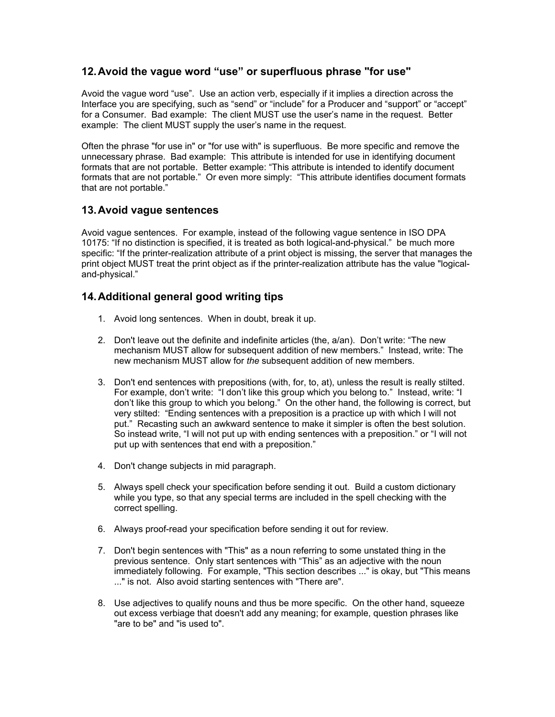#### <span id="page-4-0"></span>**12. Avoid the vague word "use" or superfluous phrase "for use"**

Avoid the vague word "use". Use an action verb, especially if it implies a direction across the Interface you are specifying, such as "send" or "include" for a Producer and "support" or "accept" for a Consumer. Bad example: The client MUST use the user's name in the request. Better example: The client MUST supply the user's name in the request.

Often the phrase "for use in" or "for use with" is superfluous. Be more specific and remove the unnecessary phrase. Bad example: This attribute is intended for use in identifying document formats that are not portable. Better example: "This attribute is intended to identify document formats that are not portable." Or even more simply: "This attribute identifies document formats that are not portable."

#### **13. Avoid vague sentences**

Avoid vague sentences. For example, instead of the following vague sentence in ISO DPA 10175: "If no distinction is specified, it is treated as both logical-and-physical." be much more specific: "If the printer-realization attribute of a print object is missing, the server that manages the print object MUST treat the print object as if the printer-realization attribute has the value "logicaland-physical."

#### **14. Additional general good writing tips**

- 1. Avoid long sentences. When in doubt, break it up.
- 2. Don't leave out the definite and indefinite articles (the, a/an). Don't write: "The new mechanism MUST allow for subsequent addition of new members." Instead, write: The new mechanism MUST allow for *the* subsequent addition of new members.
- 3. Don't end sentences with prepositions (with, for, to, at), unless the result is really stilted. For example, don't write: "I don't like this group which you belong to." Instead, write: "I don't like this group to which you belong." On the other hand, the following is correct, but very stilted: "Ending sentences with a preposition is a practice up with which I will not put." Recasting such an awkward sentence to make it simpler is often the best solution. So instead write, "I will not put up with ending sentences with a preposition." or "I will not put up with sentences that end with a preposition."
- 4. Don't change subjects in mid paragraph.
- 5. Always spell check your specification before sending it out. Build a custom dictionary while you type, so that any special terms are included in the spell checking with the correct spelling.
- 6. Always proof-read your specification before sending it out for review.
- 7. Don't begin sentences with "This" as a noun referring to some unstated thing in the previous sentence. Only start sentences with "This" as an adjective with the noun immediately following. For example, "This section describes ..." is okay, but "This means ..." is not. Also avoid starting sentences with "There are".
- 8. Use adjectives to qualify nouns and thus be more specific. On the other hand, squeeze out excess verbiage that doesn't add any meaning; for example, question phrases like "are to be" and "is used to".